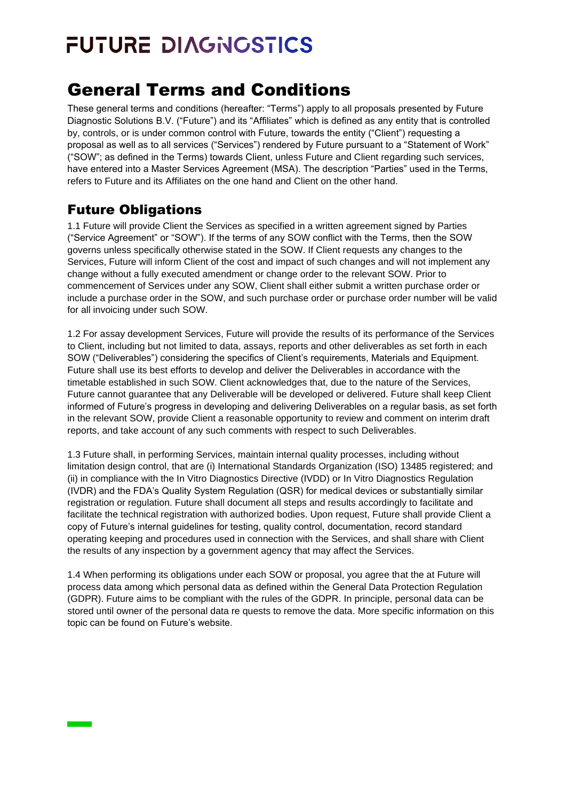## General Terms and Conditions

These general terms and conditions (hereafter: "Terms") apply to all proposals presented by Future Diagnostic Solutions B.V. ("Future") and its "Affiliates" which is defined as any entity that is controlled by, controls, or is under common control with Future, towards the entity ("Client") requesting a proposal as well as to all services ("Services") rendered by Future pursuant to a "Statement of Work" ("SOW"; as defined in the Terms) towards Client, unless Future and Client regarding such services, have entered into a Master Services Agreement (MSA). The description "Parties" used in the Terms, refers to Future and its Affiliates on the one hand and Client on the other hand.

### Future Obligations

1.1 Future will provide Client the Services as specified in a written agreement signed by Parties ("Service Agreement" or "SOW"). If the terms of any SOW conflict with the Terms, then the SOW governs unless specifically otherwise stated in the SOW. If Client requests any changes to the Services, Future will inform Client of the cost and impact of such changes and will not implement any change without a fully executed amendment or change order to the relevant SOW. Prior to commencement of Services under any SOW, Client shall either submit a written purchase order or include a purchase order in the SOW, and such purchase order or purchase order number will be valid for all invoicing under such SOW.

1.2 For assay development Services, Future will provide the results of its performance of the Services to Client, including but not limited to data, assays, reports and other deliverables as set forth in each SOW ("Deliverables") considering the specifics of Client's requirements, Materials and Equipment. Future shall use its best efforts to develop and deliver the Deliverables in accordance with the timetable established in such SOW. Client acknowledges that, due to the nature of the Services, Future cannot guarantee that any Deliverable will be developed or delivered. Future shall keep Client informed of Future's progress in developing and delivering Deliverables on a regular basis, as set forth in the relevant SOW, provide Client a reasonable opportunity to review and comment on interim draft reports, and take account of any such comments with respect to such Deliverables.

1.3 Future shall, in performing Services, maintain internal quality processes, including without limitation design control, that are (i) International Standards Organization (ISO) 13485 registered; and (ii) in compliance with the In Vitro Diagnostics Directive (IVDD) or In Vitro Diagnostics Regulation (IVDR) and the FDA's Quality System Regulation (QSR) for medical devices or substantially similar registration or regulation. Future shall document all steps and results accordingly to facilitate and facilitate the technical registration with authorized bodies. Upon request, Future shall provide Client a copy of Future's internal guidelines for testing, quality control, documentation, record standard operating keeping and procedures used in connection with the Services, and shall share with Client the results of any inspection by a government agency that may affect the Services.

1.4 When performing its obligations under each SOW or proposal, you agree that the at Future will process data among which personal data as defined within the General Data Protection Regulation (GDPR). Future aims to be compliant with the rules of the GDPR. In principle, personal data can be stored until owner of the personal data re quests to remove the data. More specific information on this topic can be found on Future's website.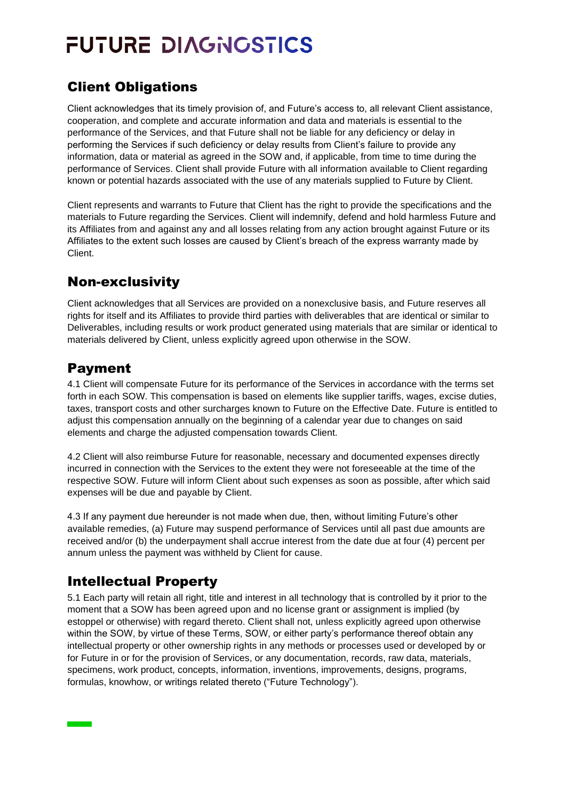### Client Obligations

Client acknowledges that its timely provision of, and Future's access to, all relevant Client assistance, cooperation, and complete and accurate information and data and materials is essential to the performance of the Services, and that Future shall not be liable for any deficiency or delay in performing the Services if such deficiency or delay results from Client's failure to provide any information, data or material as agreed in the SOW and, if applicable, from time to time during the performance of Services. Client shall provide Future with all information available to Client regarding known or potential hazards associated with the use of any materials supplied to Future by Client.

Client represents and warrants to Future that Client has the right to provide the specifications and the materials to Future regarding the Services. Client will indemnify, defend and hold harmless Future and its Affiliates from and against any and all losses relating from any action brought against Future or its Affiliates to the extent such losses are caused by Client's breach of the express warranty made by Client.

#### Non-exclusivity

Client acknowledges that all Services are provided on a nonexclusive basis, and Future reserves all rights for itself and its Affiliates to provide third parties with deliverables that are identical or similar to Deliverables, including results or work product generated using materials that are similar or identical to materials delivered by Client, unless explicitly agreed upon otherwise in the SOW.

#### Payment

4.1 Client will compensate Future for its performance of the Services in accordance with the terms set forth in each SOW. This compensation is based on elements like supplier tariffs, wages, excise duties, taxes, transport costs and other surcharges known to Future on the Effective Date. Future is entitled to adjust this compensation annually on the beginning of a calendar year due to changes on said elements and charge the adjusted compensation towards Client.

4.2 Client will also reimburse Future for reasonable, necessary and documented expenses directly incurred in connection with the Services to the extent they were not foreseeable at the time of the respective SOW. Future will inform Client about such expenses as soon as possible, after which said expenses will be due and payable by Client.

4.3 If any payment due hereunder is not made when due, then, without limiting Future's other available remedies, (a) Future may suspend performance of Services until all past due amounts are received and/or (b) the underpayment shall accrue interest from the date due at four (4) percent per annum unless the payment was withheld by Client for cause.

#### Intellectual Property

5.1 Each party will retain all right, title and interest in all technology that is controlled by it prior to the moment that a SOW has been agreed upon and no license grant or assignment is implied (by estoppel or otherwise) with regard thereto. Client shall not, unless explicitly agreed upon otherwise within the SOW, by virtue of these Terms, SOW, or either party's performance thereof obtain any intellectual property or other ownership rights in any methods or processes used or developed by or for Future in or for the provision of Services, or any documentation, records, raw data, materials, specimens, work product, concepts, information, inventions, improvements, designs, programs, formulas, knowhow, or writings related thereto ("Future Technology").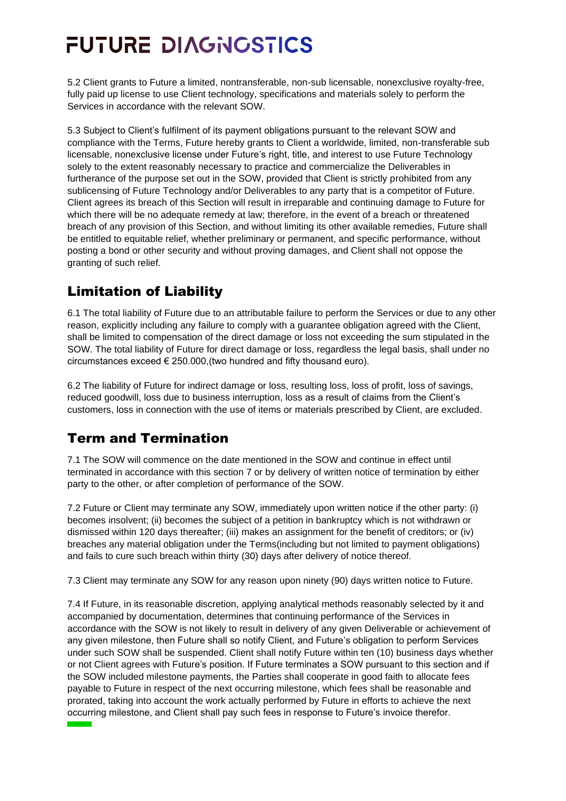5.2 Client grants to Future a limited, nontransferable, non-sub licensable, nonexclusive royalty-free, fully paid up license to use Client technology, specifications and materials solely to perform the Services in accordance with the relevant SOW.

5.3 Subject to Client's fulfilment of its payment obligations pursuant to the relevant SOW and compliance with the Terms, Future hereby grants to Client a worldwide, limited, non-transferable sub licensable, nonexclusive license under Future's right, title, and interest to use Future Technology solely to the extent reasonably necessary to practice and commercialize the Deliverables in furtherance of the purpose set out in the SOW, provided that Client is strictly prohibited from any sublicensing of Future Technology and/or Deliverables to any party that is a competitor of Future. Client agrees its breach of this Section will result in irreparable and continuing damage to Future for which there will be no adequate remedy at law; therefore, in the event of a breach or threatened breach of any provision of this Section, and without limiting its other available remedies, Future shall be entitled to equitable relief, whether preliminary or permanent, and specific performance, without posting a bond or other security and without proving damages, and Client shall not oppose the granting of such relief.

#### Limitation of Liability

6.1 The total liability of Future due to an attributable failure to perform the Services or due to any other reason, explicitly including any failure to comply with a guarantee obligation agreed with the Client, shall be limited to compensation of the direct damage or loss not exceeding the sum stipulated in the SOW. The total liability of Future for direct damage or loss, regardless the legal basis, shall under no circumstances exceed € 250.000,(two hundred and fifty thousand euro).

6.2 The liability of Future for indirect damage or loss, resulting loss, loss of profit, loss of savings, reduced goodwill, loss due to business interruption, loss as a result of claims from the Client's customers, loss in connection with the use of items or materials prescribed by Client, are excluded.

### Term and Termination

7.1 The SOW will commence on the date mentioned in the SOW and continue in effect until terminated in accordance with this section 7 or by delivery of written notice of termination by either party to the other, or after completion of performance of the SOW.

7.2 Future or Client may terminate any SOW, immediately upon written notice if the other party: (i) becomes insolvent; (ii) becomes the subject of a petition in bankruptcy which is not withdrawn or dismissed within 120 days thereafter; (iii) makes an assignment for the benefit of creditors; or (iv) breaches any material obligation under the Terms(including but not limited to payment obligations) and fails to cure such breach within thirty (30) days after delivery of notice thereof.

7.3 Client may terminate any SOW for any reason upon ninety (90) days written notice to Future.

7.4 If Future, in its reasonable discretion, applying analytical methods reasonably selected by it and accompanied by documentation, determines that continuing performance of the Services in accordance with the SOW is not likely to result in delivery of any given Deliverable or achievement of any given milestone, then Future shall so notify Client, and Future's obligation to perform Services under such SOW shall be suspended. Client shall notify Future within ten (10) business days whether or not Client agrees with Future's position. If Future terminates a SOW pursuant to this section and if the SOW included milestone payments, the Parties shall cooperate in good faith to allocate fees payable to Future in respect of the next occurring milestone, which fees shall be reasonable and prorated, taking into account the work actually performed by Future in efforts to achieve the next occurring milestone, and Client shall pay such fees in response to Future's invoice therefor.